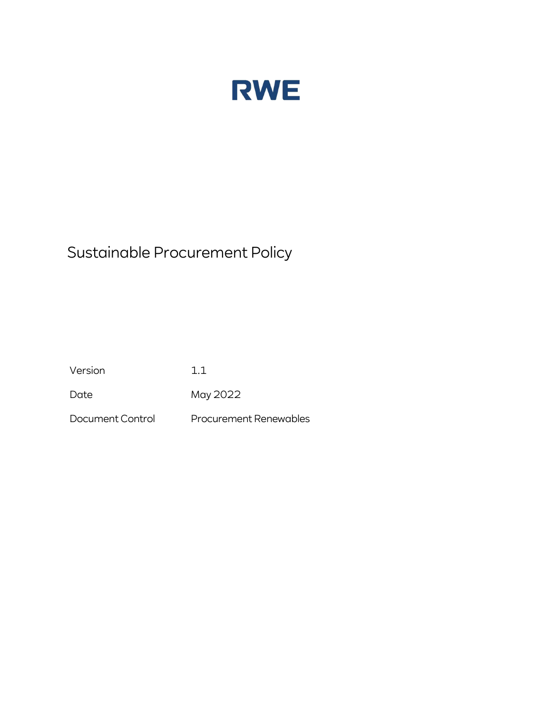

# Sustainable Procurement Policy

Version 1.1

Date May 2022

Document Control Procurement Renewables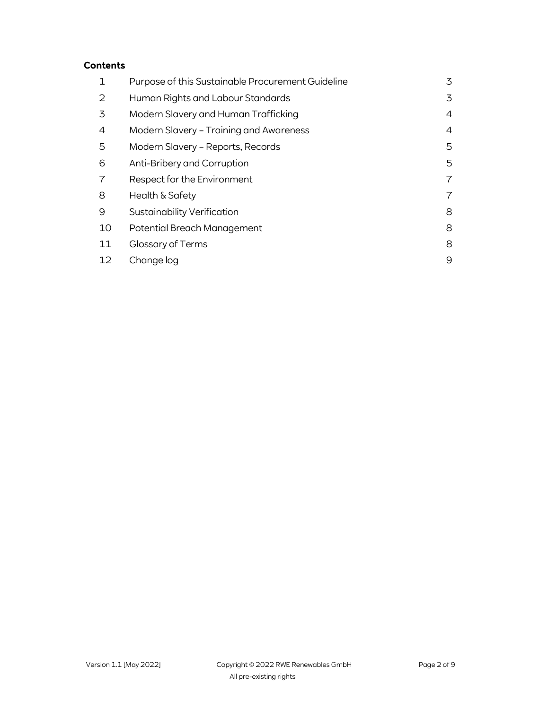# Contents

| 1  | Purpose of this Sustainable Procurement Guideline | 3 |
|----|---------------------------------------------------|---|
| 2  | Human Rights and Labour Standards                 | 3 |
| 3  | Modern Slavery and Human Trafficking              | 4 |
| 4  | Modern Slavery - Training and Awareness           | 4 |
| 5  | Modern Slavery - Reports, Records                 | 5 |
| 6  | Anti-Bribery and Corruption                       | 5 |
| 7  | Respect for the Environment                       |   |
| 8  | Health & Safety                                   |   |
| 9  | Sustainability Verification                       | 8 |
| 10 | Potential Breach Management                       | 8 |
| 11 | Glossary of Terms                                 | 8 |
| 12 | Change log                                        | 9 |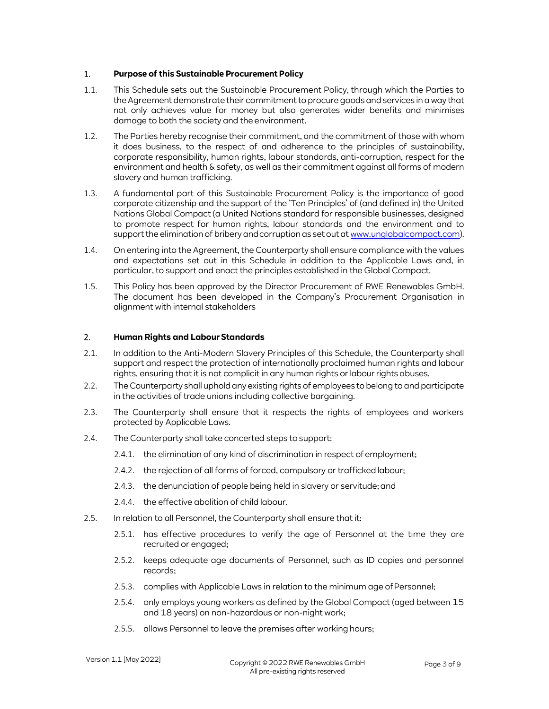### 1. Purpose of this Sustainable Procurement Policy

- 1.1. This Schedule sets out the Sustainable Procurement Policy, through which the Parties to the Agreement demonstrate their commitment to procure goods and services in a way that not only achieves value for money but also generates wider benefits and minimises damage to both the society and the environment.
- 1.2. The Parties hereby recognise their commitment, and the commitment of those with whom it does business, to the respect of and adherence to the principles of sustainability, corporate responsibility, human rights, labour standards, anti-corruption, respect for the environment and health & safety, as well as their commitment against all forms of modern slavery and human trafficking.
- 1.3. A fundamental part of this Sustainable Procurement Policy is the importance of good corporate citizenship and the support of the 'Ten Principles' of (and defined in) the United Nations Global Compact (a United Nations standard for responsible businesses, designed to promote respect for human rights, labour standards and the environment and to support the elimination of bribery and corruption as set out at www.unglobalcompact.com).
- 1.4. On entering into the Agreement, the Counterparty shall ensure compliance with the values and expectations set out in this Schedule in addition to the Applicable Laws and, in particular, to support and enact the principles established in the Global Compact.
- 1.5. This Policy has been approved by the Director Procurement of RWE Renewables GmbH. The document has been developed in the Company's Procurement Organisation in alignment with internal stakeholders

## 2. Human Rights and Labour Standards

- 2.1. In addition to the Anti-Modern Slavery Principles of this Schedule, the Counterparty shall support and respect the protection of internationally proclaimed human rights and labour rights, ensuring that it is not complicit in any human rights or labour rights abuses.
- 2.2. The Counterparty shall uphold any existing rights of employees to belong to and participate in the activities of trade unions including collective bargaining.
- 2.3. The Counterparty shall ensure that it respects the rights of employees and workers protected by Applicable Laws.
- 2.4. The Counterparty shall take concerted steps to support:
	- 2.4.1. the elimination of any kind of discrimination in respect of employment;
	- 2.4.2. the rejection of all forms of forced, compulsory or trafficked labour;
	- 2.4.3. the denunciation of people being held in slavery or servitude; and
	- 2.4.4. the effective abolition of child labour.
- 2.5. In relation to all Personnel, the Counterparty shall ensure that it:
	- 2.5.1. has effective procedures to verify the age of Personnel at the time they are recruited or engaged;
	- 2.5.2. keeps adequate age documents of Personnel, such as ID copies and personnel records;
	- 2.5.3. complies with Applicable Laws in relation to the minimum age of Personnel;
	- 2.5.4. only employs young workers as defined by the Global Compact (aged between 15 and 18 years) on non-hazardous or non-night work;
	- 2.5.5. allows Personnel to leave the premises after working hours;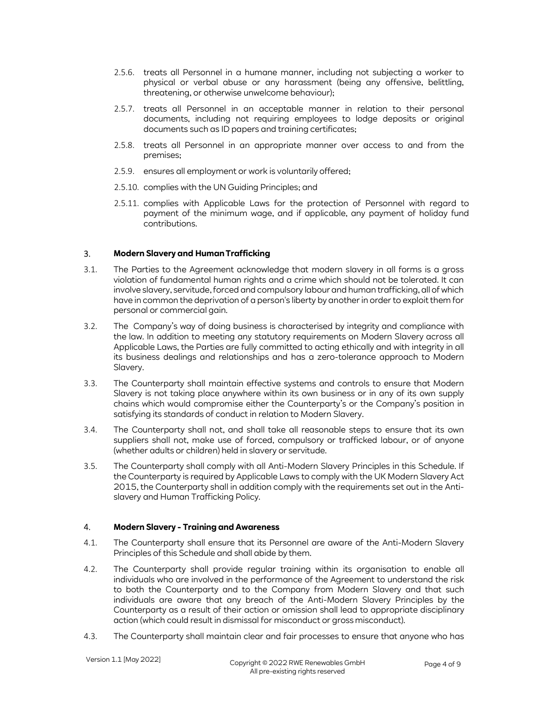- 2.5.6. treats all Personnel in a humane manner, including not subjecting a worker to physical or verbal abuse or any harassment (being any offensive, belittling, threatening, or otherwise unwelcome behaviour);
- 2.5.7. treats all Personnel in an acceptable manner in relation to their personal documents, including not requiring employees to lodge deposits or original documents such as ID papers and training certificates;
- 2.5.8. treats all Personnel in an appropriate manner over access to and from the premises;
- 2.5.9. ensures all employment or work is voluntarily offered;
- 2.5.10. complies with the UN Guiding Principles; and
- 2.5.11. complies with Applicable Laws for the protection of Personnel with regard to payment of the minimum wage, and if applicable, any payment of holiday fund contributions.

## 3. Modern Slavery and Human Trafficking

- 3.1. The Parties to the Agreement acknowledge that modern slavery in all forms is a gross violation of fundamental human rights and a crime which should not be tolerated. It can involve slavery, servitude, forced and compulsory labour and human trafficking, all of which have in common the deprivation of a person's liberty by another in order to exploit them for personal or commercial gain.
- 3.2. The Company's way of doing business is characterised by integrity and compliance with the law. In addition to meeting any statutory requirements on Modern Slavery across all Applicable Laws, the Parties are fully committed to acting ethically and with integrity in all its business dealings and relationships and has a zero-tolerance approach to Modern Slavery.
- 3.3. The Counterparty shall maintain effective systems and controls to ensure that Modern Slavery is not taking place anywhere within its own business or in any of its own supply chains which would compromise either the Counterparty's or the Company's position in satisfying its standards of conduct in relation to Modern Slavery.
- 3.4. The Counterparty shall not, and shall take all reasonable steps to ensure that its own suppliers shall not, make use of forced, compulsory or trafficked labour, or of anyone (whether adults or children) held in slavery or servitude.
- 3.5. The Counterparty shall comply with all Anti-Modern Slavery Principles in this Schedule. If the Counterparty is required by Applicable Laws to comply with the UK Modern Slavery Act 2015, the Counterparty shall in addition comply with the requirements set out in the Antislavery and Human Trafficking Policy.

## 4. Modern Slavery - Training and Awareness

- 4.1. The Counterparty shall ensure that its Personnel are aware of the Anti-Modern Slavery Principles of this Schedule and shall abide by them.
- 4.2. The Counterparty shall provide regular training within its organisation to enable all individuals who are involved in the performance of the Agreement to understand the risk to both the Counterparty and to the Company from Modern Slavery and that such individuals are aware that any breach of the Anti-Modern Slavery Principles by the Counterparty as a result of their action or omission shall lead to appropriate disciplinary action (which could result in dismissal for misconduct or gross misconduct).
- 4.3. The Counterparty shall maintain clear and fair processes to ensure that anyone who has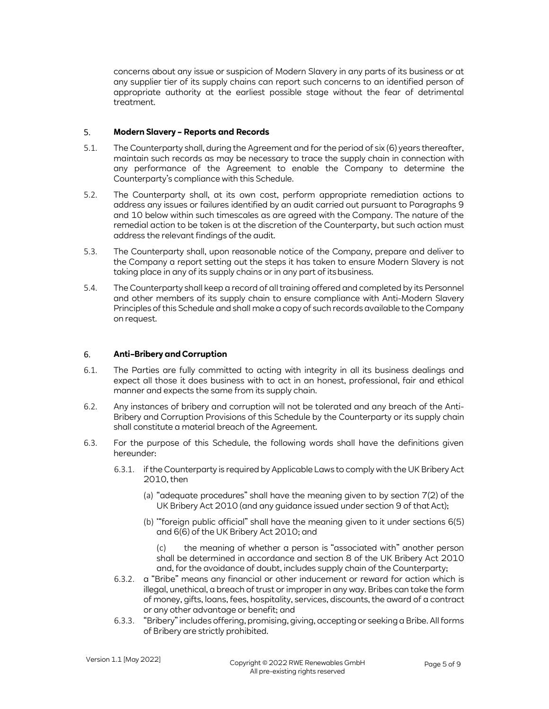concerns about any issue or suspicion of Modern Slavery in any parts of its business or at any supplier tier of its supply chains can report such concerns to an identified person of appropriate authority at the earliest possible stage without the fear of detrimental treatment.

#### 5. Modern Slavery – Reports and Records

- 5.1. The Counterparty shall, during the Agreement and for the period of six (6) years thereafter, maintain such records as may be necessary to trace the supply chain in connection with any performance of the Agreement to enable the Company to determine the Counterparty's compliance with this Schedule.
- 5.2. The Counterparty shall, at its own cost, perform appropriate remediation actions to address any issues or failures identified by an audit carried out pursuant to Paragraphs 9 and 10 below within such timescales as are agreed with the Company. The nature of the remedial action to be taken is at the discretion of the Counterparty, but such action must address the relevant findings of the audit.
- 5.3. The Counterparty shall, upon reasonable notice of the Company, prepare and deliver to the Company a report setting out the steps it has taken to ensure Modern Slavery is not taking place in any of its supply chains or in any part of its business.
- 5.4. The Counterparty shall keep a record of all training offered and completed by its Personnel and other members of its supply chain to ensure compliance with Anti-Modern Slavery Principles of this Schedule and shall make a copy of such records available to the Company on request.

# 6. Anti–Bribery and Corruption

- 6.1. The Parties are fully committed to acting with integrity in all its business dealings and expect all those it does business with to act in an honest, professional, fair and ethical manner and expects the same from its supply chain.
- 6.2. Any instances of bribery and corruption will not be tolerated and any breach of the Anti-Bribery and Corruption Provisions of this Schedule by the Counterparty or its supply chain shall constitute a material breach of the Agreement.
- 6.3. For the purpose of this Schedule, the following words shall have the definitions given hereunder:
	- 6.3.1. if the Counterparty is required by Applicable Laws to comply with the UK Bribery Act 2010, then
		- (a) "adequate procedures" shall have the meaning given to by section 7(2) of the UK Bribery Act 2010 (and any guidance issued under section 9 of that Act);
		- (b) '"foreign public official" shall have the meaning given to it under sections 6(5) and 6(6) of the UK Bribery Act 2010; and
			- (c) the meaning of whether a person is "associated with" another person shall be determined in accordance and section 8 of the UK Bribery Act 2010 and, for the avoidance of doubt, includes supply chain of the Counterparty;
	- 6.3.2. a "Bribe" means any financial or other inducement or reward for action which is illegal, unethical, a breach of trust or improper in any way. Bribes can take the form of money, gifts, loans, fees, hospitality, services, discounts, the award of a contract or any other advantage or benefit; and
	- 6.3.3. "Bribery" includes offering, promising, giving, accepting or seeking a Bribe. All forms of Bribery are strictly prohibited.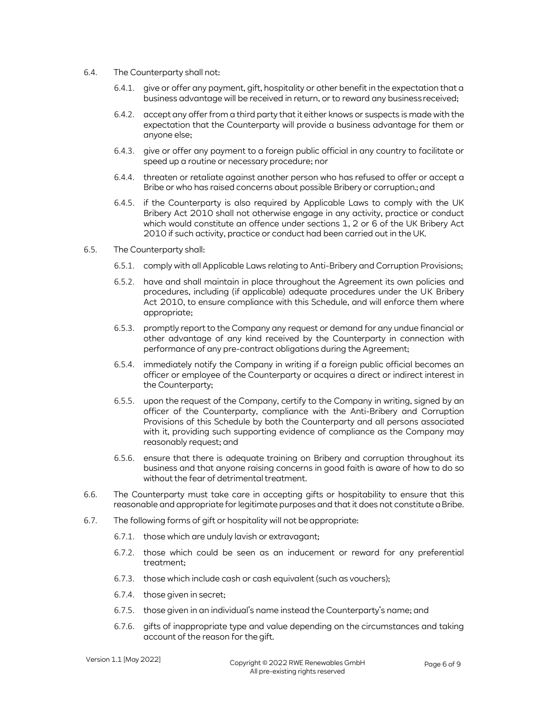- 6.4. The Counterparty shall not:
	- 6.4.1. give or offer any payment, gift, hospitality or other benefit in the expectation that a business advantage will be received in return, or to reward any business received;
	- 6.4.2. accept any offer from a third party that it either knows or suspects is made with the expectation that the Counterparty will provide a business advantage for them or anyone else;
	- 6.4.3. give or offer any payment to a foreign public official in any country to facilitate or speed up a routine or necessary procedure; nor
	- 6.4.4. threaten or retaliate against another person who has refused to offer or accept a Bribe or who has raised concerns about possible Bribery or corruption.; and
	- 6.4.5. if the Counterparty is also required by Applicable Laws to comply with the UK Bribery Act 2010 shall not otherwise engage in any activity, practice or conduct which would constitute an offence under sections 1, 2 or 6 of the UK Bribery Act 2010 if such activity, practice or conduct had been carried out in the UK.
- 6.5. The Counterparty shall:
	- 6.5.1. comply with all Applicable Laws relating to Anti-Bribery and Corruption Provisions;
	- 6.5.2. have and shall maintain in place throughout the Agreement its own policies and procedures, including (if applicable) adequate procedures under the UK Bribery Act 2010, to ensure compliance with this Schedule, and will enforce them where appropriate;
	- 6.5.3. promptly report to the Company any request or demand for any undue financial or other advantage of any kind received by the Counterparty in connection with performance of any pre-contract obligations during the Agreement;
	- 6.5.4. immediately notify the Company in writing if a foreign public official becomes an officer or employee of the Counterparty or acquires a direct or indirect interest in the Counterparty;
	- 6.5.5. upon the request of the Company, certify to the Company in writing, signed by an officer of the Counterparty, compliance with the Anti-Bribery and Corruption Provisions of this Schedule by both the Counterparty and all persons associated with it, providing such supporting evidence of compliance as the Company may reasonably request; and
	- 6.5.6. ensure that there is adequate training on Bribery and corruption throughout its business and that anyone raising concerns in good faith is aware of how to do so without the fear of detrimental treatment.
- 6.6. The Counterparty must take care in accepting gifts or hospitability to ensure that this reasonable and appropriate for legitimate purposes and that it does not constitute a Bribe.
- 6.7. The following forms of gift or hospitality will not be appropriate:
	- 6.7.1. those which are unduly lavish or extravagant;
	- 6.7.2. those which could be seen as an inducement or reward for any preferential treatment;
	- 6.7.3. those which include cash or cash equivalent (such as vouchers);
	- 6.7.4. those given in secret;
	- 6.7.5. those given in an individual's name instead the Counterparty's name; and
	- 6.7.6. gifts of inappropriate type and value depending on the circumstances and taking account of the reason for the gift.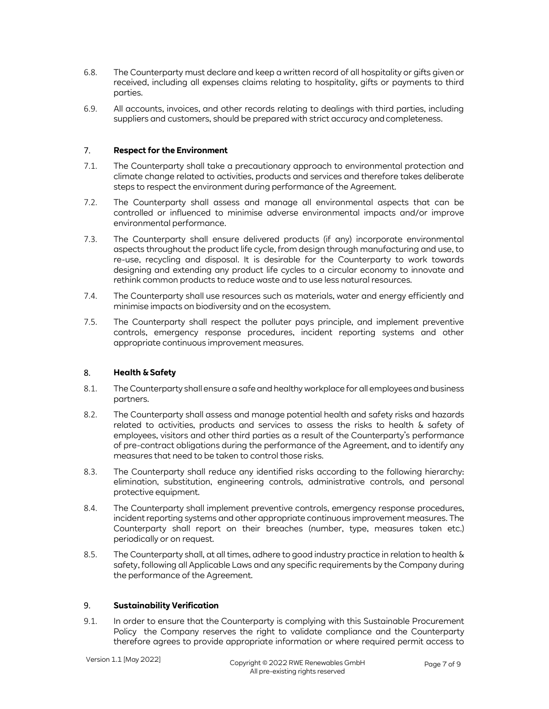- 6.8. The Counterparty must declare and keep a written record of all hospitality or gifts given or received, including all expenses claims relating to hospitality, gifts or payments to third parties.
- 6.9. All accounts, invoices, and other records relating to dealings with third parties, including suppliers and customers, should be prepared with strict accuracy and completeness.

#### 7. Respect for the Environment

- 7.1. The Counterparty shall take a precautionary approach to environmental protection and climate change related to activities, products and services and therefore takes deliberate steps to respect the environment during performance of the Agreement.
- 7.2. The Counterparty shall assess and manage all environmental aspects that can be controlled or influenced to minimise adverse environmental impacts and/or improve environmental performance.
- 7.3. The Counterparty shall ensure delivered products (if any) incorporate environmental aspects throughout the product life cycle, from design through manufacturing and use, to re-use, recycling and disposal. It is desirable for the Counterparty to work towards designing and extending any product life cycles to a circular economy to innovate and rethink common products to reduce waste and to use less natural resources.
- 7.4. The Counterparty shall use resources such as materials, water and energy efficiently and minimise impacts on biodiversity and on the ecosystem.
- 7.5. The Counterparty shall respect the polluter pays principle, and implement preventive controls, emergency response procedures, incident reporting systems and other appropriate continuous improvement measures.

## 8. Health & Safety

- 8.1. The Counterparty shall ensure a safe and healthy workplace for all employees and business partners.
- 8.2. The Counterparty shall assess and manage potential health and safety risks and hazards related to activities, products and services to assess the risks to health & safety of employees, visitors and other third parties as a result of the Counterparty's performance of pre-contract obligations during the performance of the Agreement, and to identify any measures that need to be taken to control those risks.
- 8.3. The Counterparty shall reduce any identified risks according to the following hierarchy: elimination, substitution, engineering controls, administrative controls, and personal protective equipment.
- 8.4. The Counterparty shall implement preventive controls, emergency response procedures, incident reporting systems and other appropriate continuous improvement measures. The Counterparty shall report on their breaches (number, type, measures taken etc.) periodically or on request.
- 8.5. The Counterparty shall, at all times, adhere to good industry practice in relation to health & safety, following all Applicable Laws and any specific requirements by the Company during the performance of the Agreement.

#### 9. Sustainability Verification

9.1. In order to ensure that the Counterparty is complying with this Sustainable Procurement Policy the Company reserves the right to validate compliance and the Counterparty therefore agrees to provide appropriate information or where required permit access to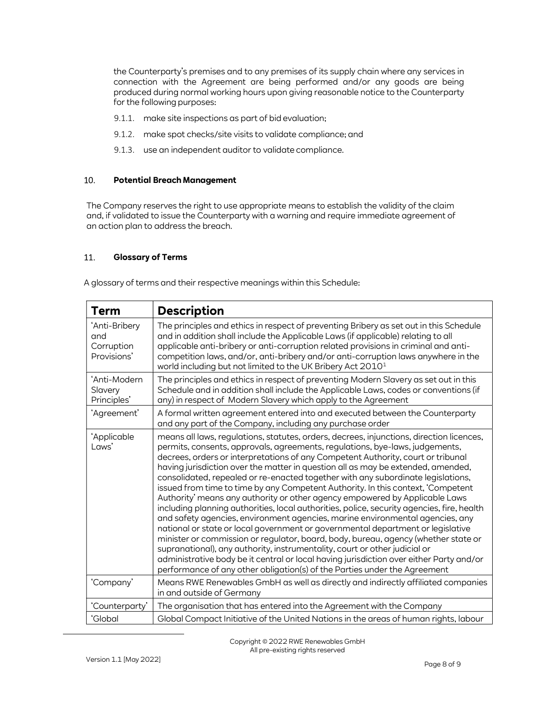the Counterparty's premises and to any premises of its supply chain where any services in connection with the Agreement are being performed and/or any goods are being produced during normal working hours upon giving reasonable notice to the Counterparty for the following purposes:

- 9.1.1. make site inspections as part of bid evaluation;
- 9.1.2. make spot checks/site visits to validate compliance; and
- 9.1.3. use an independent auditor to validate compliance.

#### 10. Potential Breach Management

The Company reserves the right to use appropriate means to establish the validity of the claim and, if validated to issue the Counterparty with a warning and require immediate agreement of an action plan to address the breach.

# 11. Glossary of Terms

A glossary of terms and their respective meanings within this Schedule:

| <b>Term</b>                                       | <b>Description</b>                                                                                                                                                                                                                                                                                                                                                                                                                                                                                                                                                                                                                                                                                                                                                                                                                                                                                                                                                                                                                                                                                                                                                                                                    |
|---------------------------------------------------|-----------------------------------------------------------------------------------------------------------------------------------------------------------------------------------------------------------------------------------------------------------------------------------------------------------------------------------------------------------------------------------------------------------------------------------------------------------------------------------------------------------------------------------------------------------------------------------------------------------------------------------------------------------------------------------------------------------------------------------------------------------------------------------------------------------------------------------------------------------------------------------------------------------------------------------------------------------------------------------------------------------------------------------------------------------------------------------------------------------------------------------------------------------------------------------------------------------------------|
| 'Anti-Bribery<br>and<br>Corruption<br>Provisions' | The principles and ethics in respect of preventing Bribery as set out in this Schedule<br>and in addition shall include the Applicable Laws (if applicable) relating to all<br>applicable anti-bribery or anti-corruption related provisions in criminal and anti-<br>competition laws, and/or, anti-bribery and/or anti-corruption laws anywhere in the<br>world including but not limited to the UK Bribery Act 2010 <sup>1</sup>                                                                                                                                                                                                                                                                                                                                                                                                                                                                                                                                                                                                                                                                                                                                                                                   |
| 'Anti-Modern<br>Slavery<br>Principles'            | The principles and ethics in respect of preventing Modern Slavery as set out in this<br>Schedule and in addition shall include the Applicable Laws, codes or conventions (if<br>any) in respect of Modern Slavery which apply to the Agreement                                                                                                                                                                                                                                                                                                                                                                                                                                                                                                                                                                                                                                                                                                                                                                                                                                                                                                                                                                        |
| 'Agreement'                                       | A formal written agreement entered into and executed between the Counterparty<br>and any part of the Company, including any purchase order                                                                                                                                                                                                                                                                                                                                                                                                                                                                                                                                                                                                                                                                                                                                                                                                                                                                                                                                                                                                                                                                            |
| 'Applicable<br>Laws'                              | means all laws, regulations, statutes, orders, decrees, injunctions, direction licences,<br>permits, consents, approvals, agreements, regulations, bye-laws, judgements,<br>decrees, orders or interpretations of any Competent Authority, court or tribunal<br>having jurisdiction over the matter in question all as may be extended, amended,<br>consolidated, repealed or re-enacted together with any subordinate legislations,<br>issued from time to time by any Competent Authority. In this context, 'Competent<br>Authority' means any authority or other agency empowered by Applicable Laws<br>including planning authorities, local authorities, police, security agencies, fire, health<br>and safety agencies, environment agencies, marine environmental agencies, any<br>national or state or local government or governmental department or legislative<br>minister or commission or regulator, board, body, bureau, agency (whether state or<br>supranational), any authority, instrumentality, court or other judicial or<br>administrative body be it central or local having jurisdiction over either Party and/or<br>performance of any other obligation(s) of the Parties under the Agreement |
| 'Company'                                         | Means RWE Renewables GmbH as well as directly and indirectly affiliated companies<br>in and outside of Germany                                                                                                                                                                                                                                                                                                                                                                                                                                                                                                                                                                                                                                                                                                                                                                                                                                                                                                                                                                                                                                                                                                        |
| 'Counterparty'                                    | The organisation that has entered into the Agreement with the Company                                                                                                                                                                                                                                                                                                                                                                                                                                                                                                                                                                                                                                                                                                                                                                                                                                                                                                                                                                                                                                                                                                                                                 |
| 'Global                                           | Global Compact Initiative of the United Nations in the areas of human rights, labour                                                                                                                                                                                                                                                                                                                                                                                                                                                                                                                                                                                                                                                                                                                                                                                                                                                                                                                                                                                                                                                                                                                                  |